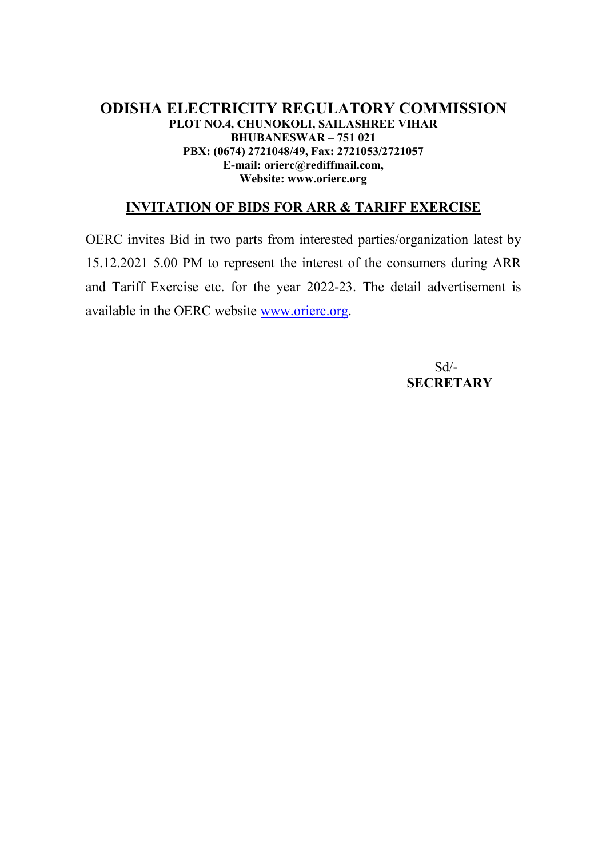## **ODISHA ELECTRICITY REGULATORY COMMISSION PLOT NO.4, CHUNOKOLI, SAILASHREE VIHAR BHUBANESWAR – 751 021 PBX: (0674) 2721048/49, Fax: 2721053/2721057 E-mail: orierc@rediffmail.com, Website: www.orierc.org**

## **INVITATION OF BIDS FOR ARR & TARIFF EXERCISE**

OERC invites Bid in two parts from interested parties/organization latest by 15.12.2021 5.00 PM to represent the interest of the consumers during ARR and Tariff Exercise etc. for the year 2022-23. The detail advertisement is available in the OERC website www.orierc.org.

 Sd/- **SECRETARY**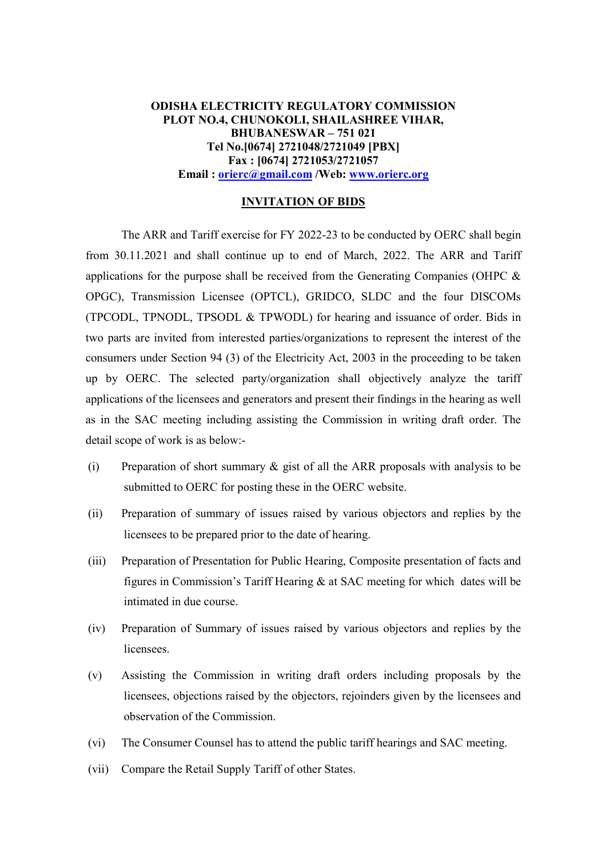## **ODISHA ELECTRICITY REGULATORY COMMISSION PLOT NO.4, CHUNOKOLI, SHAILASHREE VIHAR, BHUBANESWAR – 751 021 Tel No.[0674] 2721048/2721049 [PBX] Fax : [0674] 2721053/2721057 Email : orierc@gmail.com /Web: www.orierc.org**

## **INVITATION OF BIDS**

The ARR and Tariff exercise for FY 2022-23 to be conducted by OERC shall begin from 30.11.2021 and shall continue up to end of March, 2022. The ARR and Tariff applications for the purpose shall be received from the Generating Companies (OHPC & OPGC), Transmission Licensee (OPTCL), GRIDCO, SLDC and the four DISCOMs (TPCODL, TPNODL, TPSODL & TPWODL) for hearing and issuance of order. Bids in two parts are invited from interested parties/organizations to represent the interest of the consumers under Section 94 (3) of the Electricity Act, 2003 in the proceeding to be taken up by OERC. The selected party/organization shall objectively analyze the tariff applications of the licensees and generators and present their findings in the hearing as well as in the SAC meeting including assisting the Commission in writing draft order. The detail scope of work is as below:-

- (i) Preparation of short summary & gist of all the ARR proposals with analysis to be submitted to OERC for posting these in the OERC website.
- (ii) Preparation of summary of issues raised by various objectors and replies by the licensees to be prepared prior to the date of hearing.
- (iii) Preparation of Presentation for Public Hearing, Composite presentation of facts and figures in Commission's Tariff Hearing & at SAC meeting for which dates will be intimated in due course.
- (iv) Preparation of Summary of issues raised by various objectors and replies by the licensees.
- (v) Assisting the Commission in writing draft orders including proposals by the licensees, objections raised by the objectors, rejoinders given by the licensees and observation of the Commission.
- (vi) The Consumer Counsel has to attend the public tariff hearings and SAC meeting.
- (vii) Compare the Retail Supply Tariff of other States.